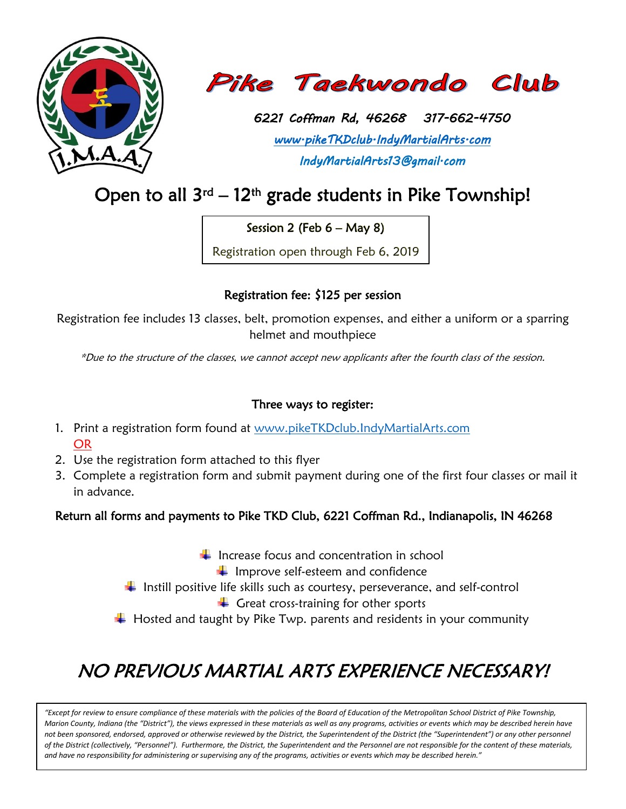



*6221 Coffman Rd, 46268 317-662-4750 [www.pikeTKDclub.IndyMartialArts.com](http://www.piketkdclub.indymartialarts.com/)  IndyMartialArts13@gmail.com* 

## Open to all  $3^{rd} - 12^{th}$  grade students in Pike Township!

Session 2 (Feb  $6 -$  May 8)

Registration open through Feb 6, 2019

### Registration fee: \$125 per session

Registration fee includes 13 classes, belt, promotion expenses, and either a uniform or a sparring helmet and mouthpiece

\*Due to the structure of the classes, we cannot accept new applicants after the fourth class of the session.

### Three ways to register:

- 1. Print a registration form found at [www.pikeTKDclub.IndyMartialArts.com](http://www.piketkdclub.indymartialarts.com/) OR
- 2. Use the registration form attached to this flyer
- 3. Complete a registration form and submit payment during one of the first four classes or mail it in advance.

### Return all forms and payments to Pike TKD Club, 6221 Coffman Rd., Indianapolis, IN 46268

 $\frac{1}{\sqrt{1}}$  Increase focus and concentration in school

 $\blacksquare$  Improve self-esteem and confidence

- Instill positive life skills such as courtesy, perseverance, and self-control
	- $\overline{\phantom{a}}$  Great cross-training for other sports
- $\ddot{+}$  Hosted and taught by Pike Twp. parents and residents in your community

# NO PREVIOUS MARTIAL ARTS EXPERIENCE NECESSARY!

*"Except for review to ensure compliance of these materials with the policies of the Board of Education of the Metropolitan School District of Pike Township, Marion County, Indiana (the "District"), the views expressed in these materials as well as any programs, activities or events which may be described herein have not been sponsored, endorsed, approved or otherwise reviewed by the District, the Superintendent of the District (the "Superintendent") or any other personnel of the District (collectively, "Personnel"). Furthermore, the District, the Superintendent and the Personnel are not responsible for the content of these materials,*  and have no responsibility for administering or supervising any of the programs, activities or events which may be described herein."